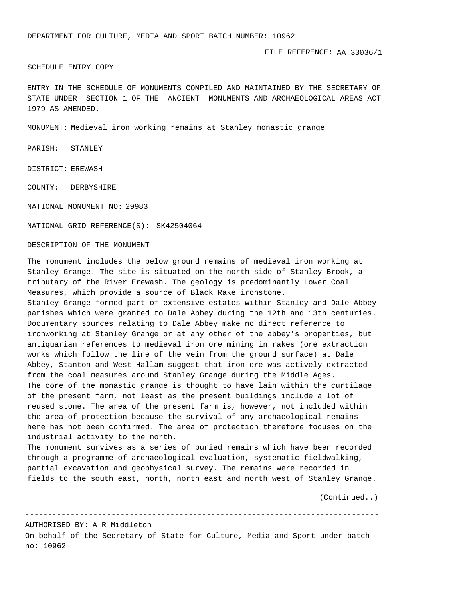## SCHEDULE ENTRY COPY

ENTRY IN THE SCHEDULE OF MONUMENTS COMPILED AND MAINTAINED BY THE SECRETARY OF STATE UNDER SECTION 1 OF THE ANCIENT MONUMENTS AND ARCHAEOLOGICAL AREAS ACT 1979 AS AMENDED.

MONUMENT: Medieval iron working remains at Stanley monastic grange

PARISH: STANLEY

DISTRICT: EREWASH

COUNTY: DERBYSHIRE

NATIONAL MONUMENT NO: 29983

NATIONAL GRID REFERENCE(S): SK42504064

## DESCRIPTION OF THE MONUMENT

The monument includes the below ground remains of medieval iron working at Stanley Grange. The site is situated on the north side of Stanley Brook, a tributary of the River Erewash. The geology is predominantly Lower Coal Measures, which provide a source of Black Rake ironstone. Stanley Grange formed part of extensive estates within Stanley and Dale Abbey parishes which were granted to Dale Abbey during the 12th and 13th centuries. Documentary sources relating to Dale Abbey make no direct reference to ironworking at Stanley Grange or at any other of the abbey's properties, but antiquarian references to medieval iron ore mining in rakes (ore extraction works which follow the line of the vein from the ground surface) at Dale Abbey, Stanton and West Hallam suggest that iron ore was actively extracted from the coal measures around Stanley Grange during the Middle Ages. The core of the monastic grange is thought to have lain within the curtilage of the present farm, not least as the present buildings include a lot of reused stone. The area of the present farm is, however, not included within the area of protection because the survival of any archaeological remains here has not been confirmed. The area of protection therefore focuses on the industrial activity to the north. The monument survives as a series of buried remains which have been recorded

through a programme of archaeological evaluation, systematic fieldwalking, partial excavation and geophysical survey. The remains were recorded in fields to the south east, north, north east and north west of Stanley Grange.

(Continued..)

------------------------------------------------------------------------------

AUTHORISED BY: A R Middleton

On behalf of the Secretary of State for Culture, Media and Sport under batch no: 10962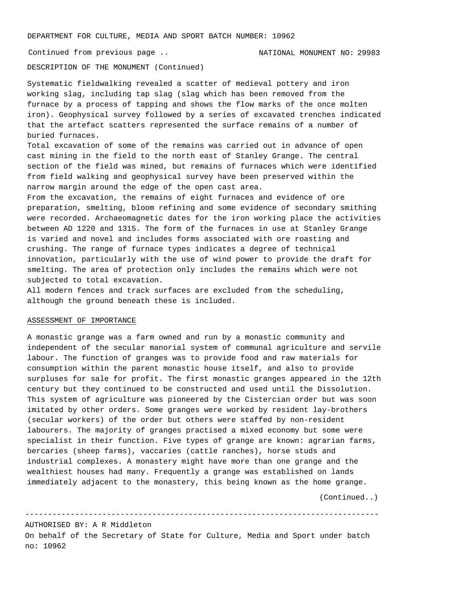DEPARTMENT FOR CULTURE, MEDIA AND SPORT BATCH NUMBER: 10962

Continued from previous page .. NATIONAL MONUMENT NO: 29983

DESCRIPTION OF THE MONUMENT (Continued)

Systematic fieldwalking revealed a scatter of medieval pottery and iron working slag, including tap slag (slag which has been removed from the furnace by a process of tapping and shows the flow marks of the once molten iron). Geophysical survey followed by a series of excavated trenches indicated that the artefact scatters represented the surface remains of a number of buried furnaces.

Total excavation of some of the remains was carried out in advance of open cast mining in the field to the north east of Stanley Grange. The central section of the field was mined, but remains of furnaces which were identified from field walking and geophysical survey have been preserved within the narrow margin around the edge of the open cast area.

From the excavation, the remains of eight furnaces and evidence of ore preparation, smelting, bloom refining and some evidence of secondary smithing were recorded. Archaeomagnetic dates for the iron working place the activities between AD 1220 and 1315. The form of the furnaces in use at Stanley Grange is varied and novel and includes forms associated with ore roasting and crushing. The range of furnace types indicates a degree of technical innovation, particularly with the use of wind power to provide the draft for smelting. The area of protection only includes the remains which were not subjected to total excavation.

All modern fences and track surfaces are excluded from the scheduling, although the ground beneath these is included.

## ASSESSMENT OF IMPORTANCE

A monastic grange was a farm owned and run by a monastic community and independent of the secular manorial system of communal agriculture and servile labour. The function of granges was to provide food and raw materials for consumption within the parent monastic house itself, and also to provide surpluses for sale for profit. The first monastic granges appeared in the 12th century but they continued to be constructed and used until the Dissolution. This system of agriculture was pioneered by the Cistercian order but was soon imitated by other orders. Some granges were worked by resident lay-brothers (secular workers) of the order but others were staffed by non-resident labourers. The majority of granges practised a mixed economy but some were specialist in their function. Five types of grange are known: agrarian farms, bercaries (sheep farms), vaccaries (cattle ranches), horse studs and industrial complexes. A monastery might have more than one grange and the wealthiest houses had many. Frequently a grange was established on lands immediately adjacent to the monastery, this being known as the home grange.

(Continued..)

AUTHORISED BY: A R Middleton On behalf of the Secretary of State for Culture, Media and Sport under batch no: 10962

------------------------------------------------------------------------------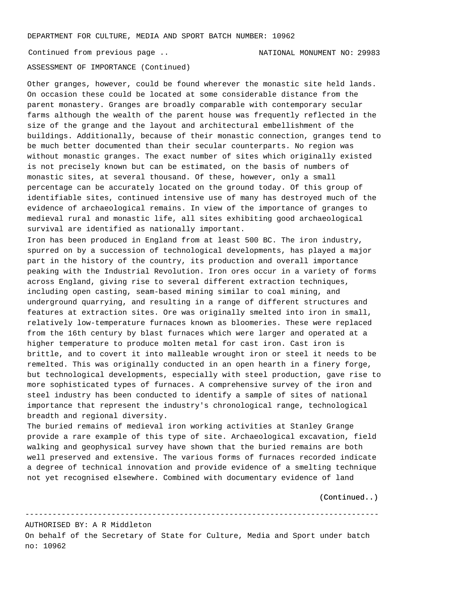DEPARTMENT FOR CULTURE, MEDIA AND SPORT BATCH NUMBER: 10962

ASSESSMENT OF IMPORTANCE (Continued) Continued from previous page .. NATIONAL MONUMENT NO: 29983

Other granges, however, could be found wherever the monastic site held lands. On occasion these could be located at some considerable distance from the parent monastery. Granges are broadly comparable with contemporary secular farms although the wealth of the parent house was frequently reflected in the size of the grange and the layout and architectural embellishment of the buildings. Additionally, because of their monastic connection, granges tend to be much better documented than their secular counterparts. No region was without monastic granges. The exact number of sites which originally existed is not precisely known but can be estimated, on the basis of numbers of monastic sites, at several thousand. Of these, however, only a small percentage can be accurately located on the ground today. Of this group of identifiable sites, continued intensive use of many has destroyed much of the evidence of archaeological remains. In view of the importance of granges to medieval rural and monastic life, all sites exhibiting good archaeological survival are identified as nationally important.

Iron has been produced in England from at least 500 BC. The iron industry, spurred on by a succession of technological developments, has played a major part in the history of the country, its production and overall importance peaking with the Industrial Revolution. Iron ores occur in a variety of forms across England, giving rise to several different extraction techniques, including open casting, seam-based mining similar to coal mining, and underground quarrying, and resulting in a range of different structures and features at extraction sites. Ore was originally smelted into iron in small, relatively low-temperature furnaces known as bloomeries. These were replaced from the 16th century by blast furnaces which were larger and operated at a higher temperature to produce molten metal for cast iron. Cast iron is brittle, and to covert it into malleable wrought iron or steel it needs to be remelted. This was originally conducted in an open hearth in a finery forge, but technological developments, especially with steel production, gave rise to more sophisticated types of furnaces. A comprehensive survey of the iron and steel industry has been conducted to identify a sample of sites of national importance that represent the industry's chronological range, technological breadth and regional diversity.

The buried remains of medieval iron working activities at Stanley Grange provide a rare example of this type of site. Archaeological excavation, field walking and geophysical survey have shown that the buried remains are both well preserved and extensive. The various forms of furnaces recorded indicate a degree of technical innovation and provide evidence of a smelting technique not yet recognised elsewhere. Combined with documentary evidence of land

(Continued..)

AUTHORISED BY: A R Middleton

On behalf of the Secretary of State for Culture, Media and Sport under batch no: 10962

------------------------------------------------------------------------------